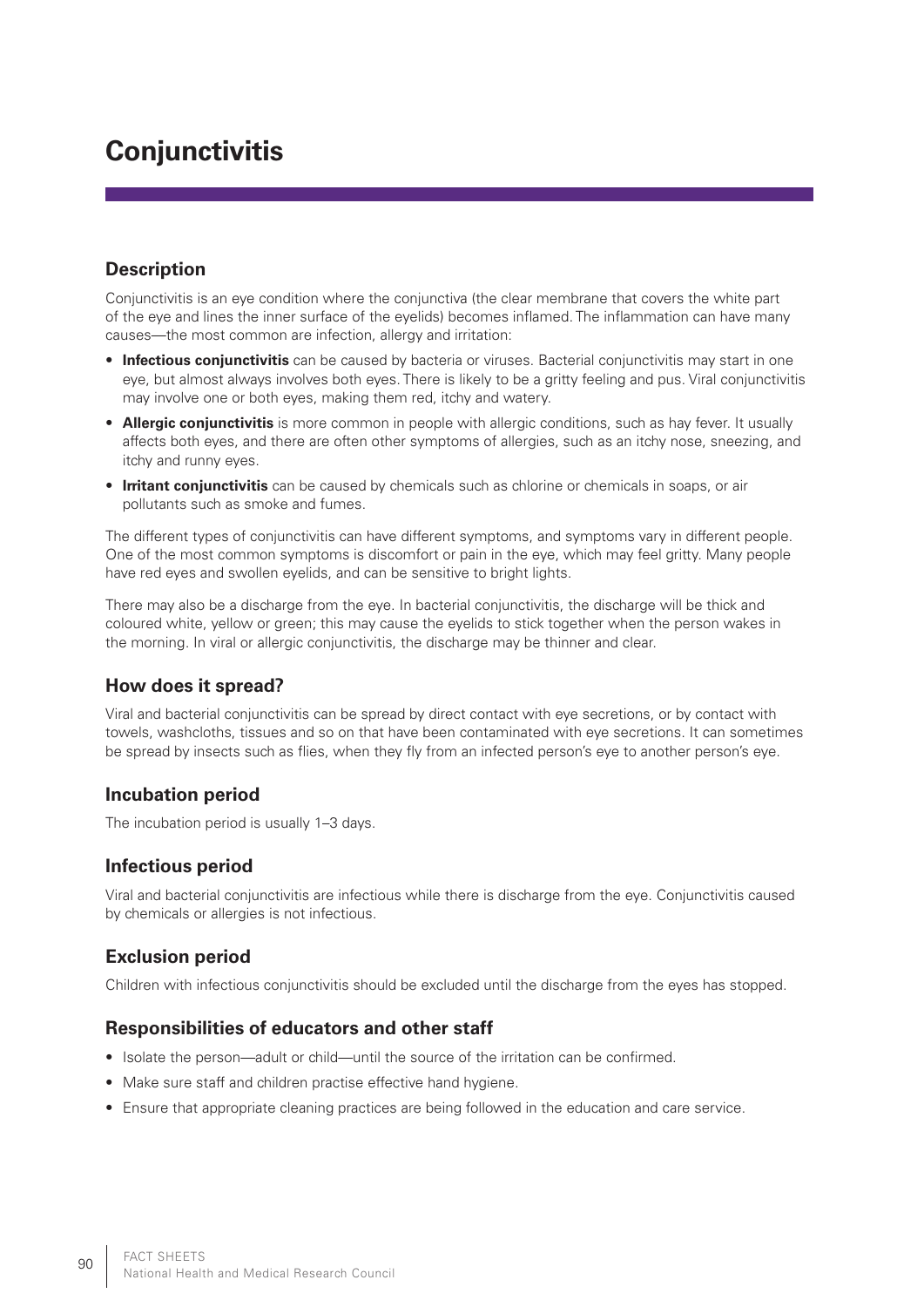# **Conjunctivitis**

## **Description**

Conjunctivitis is an eye condition where the conjunctiva (the clear membrane that covers the white part of the eye and lines the inner surface of the eyelids) becomes inflamed. The inflammation can have many causes—the most common are infection, allergy and irritation:

- **Infectious conjunctivitis** can be caused by bacteria or viruses. Bacterial conjunctivitis may start in one eye, but almost always involves both eyes. There is likely to be a gritty feeling and pus. Viral conjunctivitis may involve one or both eyes, making them red, itchy and watery.
- **Allergic conjunctivitis** is more common in people with allergic conditions, such as hay fever. It usually affects both eyes, and there are often other symptoms of allergies, such as an itchy nose, sneezing, and itchy and runny eyes.
- **Irritant conjunctivitis** can be caused by chemicals such as chlorine or chemicals in soaps, or air pollutants such as smoke and fumes.

The different types of conjunctivitis can have different symptoms, and symptoms vary in different people. One of the most common symptoms is discomfort or pain in the eye, which may feel gritty. Many people have red eyes and swollen eyelids, and can be sensitive to bright lights.

There may also be a discharge from the eye. In bacterial conjunctivitis, the discharge will be thick and coloured white, yellow or green; this may cause the eyelids to stick together when the person wakes in the morning. In viral or allergic conjunctivitis, the discharge may be thinner and clear.

#### **How does it spread?**

Viral and bacterial conjunctivitis can be spread by direct contact with eye secretions, or by contact with towels, washcloths, tissues and so on that have been contaminated with eye secretions. It can sometimes be spread by insects such as flies, when they fly from an infected person's eye to another person's eye.

#### **Incubation period**

The incubation period is usually 1–3 days.

# **Infectious period**

Viral and bacterial conjunctivitis are infectious while there is discharge from the eye. Conjunctivitis caused by chemicals or allergies is not infectious.

# **Exclusion period**

Children with infectious conjunctivitis should be excluded until the discharge from the eyes has stopped.

#### **Responsibilities of educators and other staff**

- • Isolate the person—adult or child—until the source of the irritation can be confirmed.
- Make sure staff and children practise effective hand hygiene.
- Ensure that appropriate cleaning practices are being followed in the education and care service.